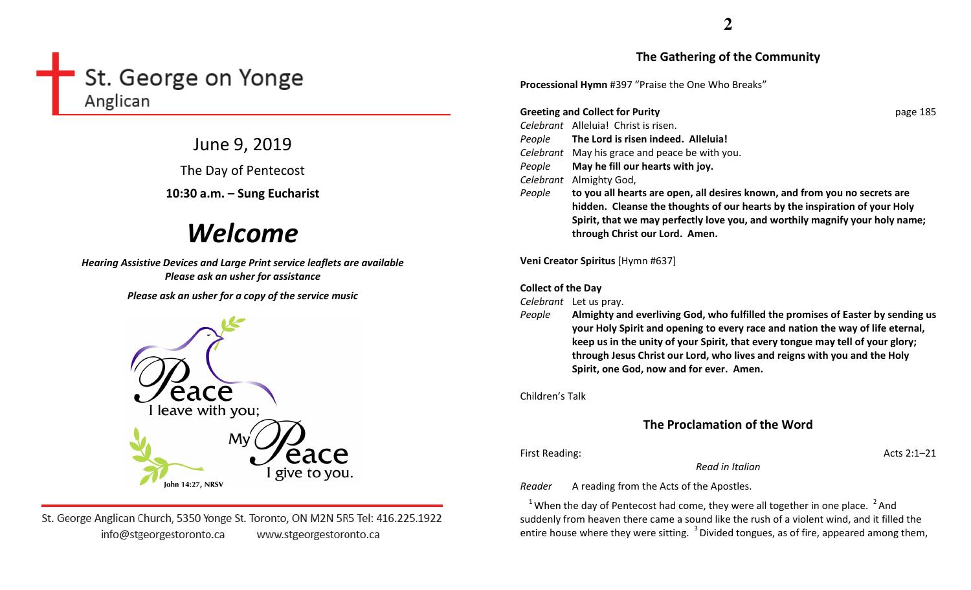# St. George on Yonge Anglican

June 9, 2019

The Day of Pentecost

10:30 a.m. – Sung Eucharist

# Welcome

Hearing Assistive Devices and Large Print service leaflets are available Please ask an usher for assistance

Please ask an usher for a copy of the service music



St. George Anglican Church, 5350 Yonge St. Toronto, ON M2N 5R5 Tel: 416.225.1922 info@stgeorgestoronto.ca www.stgeorgestoronto.ca

#### The Gathering of the Community

Processional Hymn #397 "Praise the One Who Breaks"

|           | <b>Greeting and Collect for Purity</b>                                       | page 185 |
|-----------|------------------------------------------------------------------------------|----------|
|           | Celebrant Alleluia! Christ is risen.                                         |          |
| People    | The Lord is risen indeed. Alleluia!                                          |          |
|           | Celebrant May his grace and peace be with you.                               |          |
| People    | May he fill our hearts with joy.                                             |          |
| Celebrant | Almighty God,                                                                |          |
| People    | to you all hearts are open, all desires known, and from you no secrets are   |          |
|           | hidden. Cleanse the thoughts of our hearts by the inspiration of your Holy   |          |
|           | Spirit, that we may perfectly love you, and worthily magnify your holy name; |          |
|           | through Christ our Lord. Amen.                                               |          |

Veni Creator Spiritus [Hymn #637]

#### Collect of the Day

Celebrant Let us pray.

People Almighty and everliving God, who fulfilled the promises of Easter by sending us your Holy Spirit and opening to every race and nation the way of life eternal, keep us in the unity of your Spirit, that every tongue may tell of your glory; through Jesus Christ our Lord, who lives and reigns with you and the Holy Spirit, one God, now and for ever. Amen.

Children's Talk

## The Proclamation of the Word

First Reading: Acts 2:1–21

Read in Italian

Reader A reading from the Acts of the Apostles.

 $1$  When the day of Pentecost had come, they were all together in one place.  $2$  And suddenly from heaven there came a sound like the rush of a violent wind, and it filled the entire house where they were sitting.  $3$  Divided tongues, as of fire, appeared among them,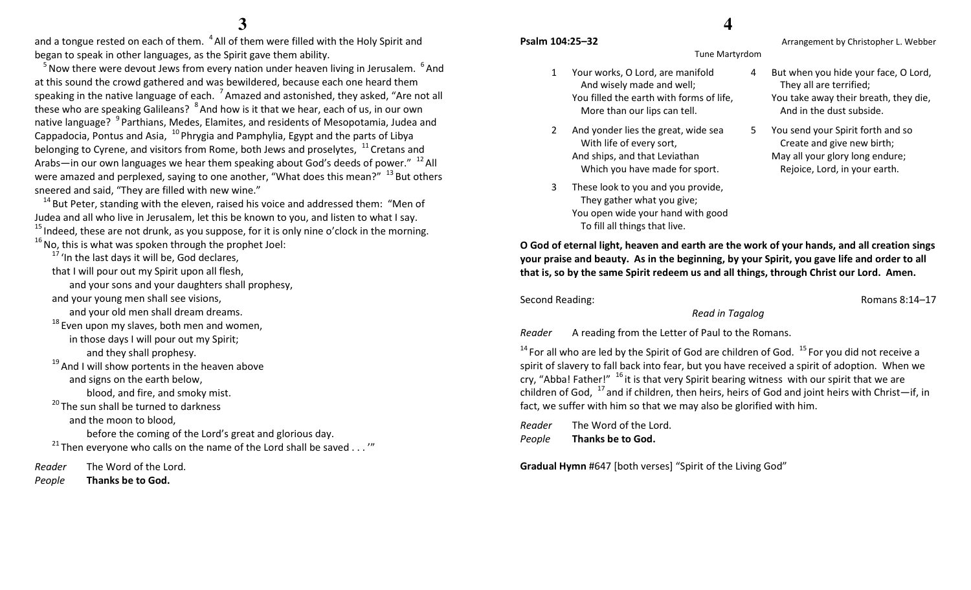and a tongue rested on each of them.  $4$  All of them were filled with the Holy Spirit and began to speak in other languages, as the Spirit gave them ability.

 $5$  Now there were devout Jews from every nation under heaven living in Jerusalem.  $6$  And at this sound the crowd gathered and was bewildered, because each one heard them speaking in the native language of each.  $\frac{7}{2}$  Amazed and astonished, they asked, "Are not all these who are speaking Galileans?  $8$  And how is it that we hear, each of us, in our own native language? <sup>9</sup> Parthians, Medes, Elamites, and residents of Mesopotamia, Judea and Cappadocia, Pontus and Asia,  $^{10}$  Phrygia and Pamphylia, Egypt and the parts of Libya belonging to Cyrene, and visitors from Rome, both Jews and proselytes,  $^{11}$  Cretans and Arabs—in our own languages we hear them speaking about God's deeds of power."  $12$  All were amazed and perplexed, saying to one another, "What does this mean?"  $^{13}$ But others sneered and said, "They are filled with new wine."

 $14$  But Peter, standing with the eleven, raised his voice and addressed them: "Men of Judea and all who live in Jerusalem, let this be known to you, and listen to what I say.  $^{15}$ Indeed, these are not drunk, as you suppose, for it is only nine o'clock in the morning.

 $16$  No, this is what was spoken through the prophet Joel:

 $17$ 'In the last days it will be, God declares,

that I will pour out my Spirit upon all flesh,

and your sons and your daughters shall prophesy,

and your young men shall see visions,

and your old men shall dream dreams.

 $^{18}$  Even upon my slaves, both men and women, in those days I will pour out my Spirit; and they shall prophesy.

 $^{19}$  And I will show portents in the heaven above and signs on the earth below,

blood, and fire, and smoky mist.

<sup>20</sup>The sun shall be turned to darkness

and the moon to blood,

before the coming of the Lord's great and glorious day.

<sup>21</sup> Then everyone who calls on the name of the Lord shall be saved  $\dots''$ 

Reader The Word of the Lord.

PeopleThanks be to God.

#### Psalm 104:25–32

### Tune Martyrdom

- 1 Your works, O Lord, are manifoldAnd wisely made and well; You filled the earth with forms of life, More than our lips can tell.
- 2 And yonder lies the great, wide sea With life of every sort, And ships, and that Leviathan Which you have made for sport.
- 3 These look to you and you provide, They gather what you give; You open wide your hand with good To fill all things that live.

Arrangement by Christopher L. Webber

- 4 But when you hide your face, O Lord, They all are terrified; You take away their breath, they die, And in the dust subside.
- 5 You send your Spirit forth and so Create and give new birth; May all your glory long endure; Rejoice, Lord, in your earth.

O God of eternal light, heaven and earth are the work of your hands, and all creation sings your praise and beauty. As in the beginning, by your Spirit, you gave life and order to all that is, so by the same Spirit redeem us and all things, through Christ our Lord. Amen.

Second Reading: The Contract of the Contract of the Contract of the Romans 8:14–17

Reader A reading from the Letter of Paul to the Romans.

 $14$  For all who are led by the Spirit of God are children of God.  $15$  For you did not receive a spirit of slavery to fall back into fear, but you have received a spirit of adoption. When we cry, "Abba! Father!"  $16$  it is that very Spirit bearing witness with our spirit that we are children of God,  $^{17}$  and if children, then heirs, heirs of God and joint heirs with Christ—if, in fact, we suffer with him so that we may also be glorified with him.

Read in Tagalog

Reader The Word of the Lord. PeopleThanks be to God.

Gradual Hymn #647 [both verses] "Spirit of the Living God"

## **4**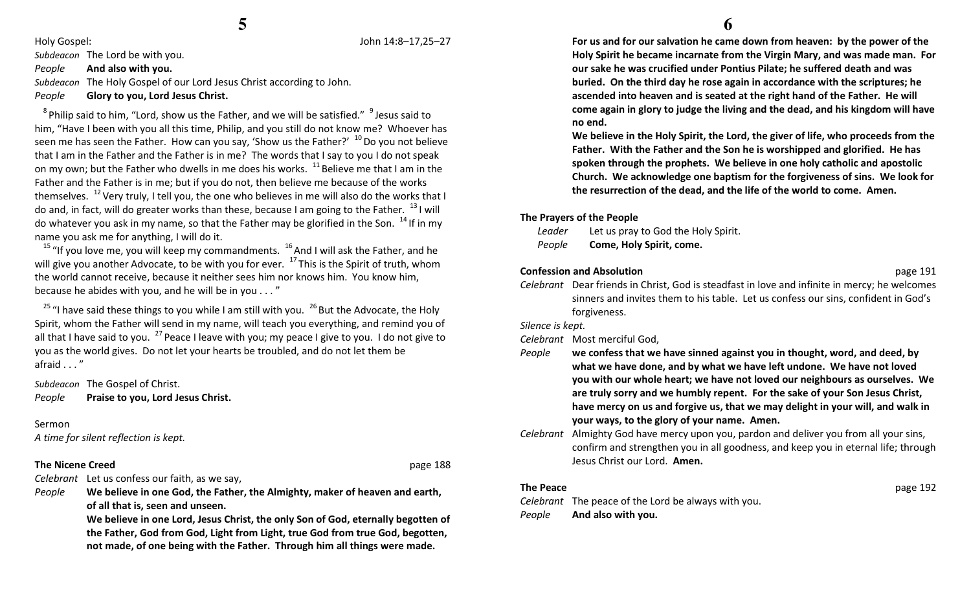Holy Gospel: John 14:8–17,25–27

Subdeacon The Lord be with you.

PeopleAnd also with you.

Subdeacon The Holy Gospel of our Lord Jesus Christ according to John. PeopleGlory to you, Lord Jesus Christ.

 $8$  Philip said to him, "Lord, show us the Father, and we will be satisfied."  $9$  Jesus said to him, "Have I been with you all this time, Philip, and you still do not know me? Whoever has seen me has seen the Father. How can you say, 'Show us the Father?'  $^{10}$  Do you not believe that I am in the Father and the Father is in me? The words that I say to you I do not speak

on my own; but the Father who dwells in me does his works.  $^{11}$ Believe me that I am in the Father and the Father is in me; but if you do not, then believe me because of the works themselves.  $^{12}$  Very truly, I tell you, the one who believes in me will also do the works that I do and, in fact, will do greater works than these, because I am going to the Father.  $^{13}$ I will do whatever you ask in my name, so that the Father may be glorified in the Son.  $^{14}$  If in my name you ask me for anything, I will do it.

<sup>15</sup> "If you love me, you will keep my commandments.  $16$  And I will ask the Father, and he will give you another Advocate, to be with you for ever.  $^{17}$  This is the Spirit of truth, whom the world cannot receive, because it neither sees him nor knows him. You know him, because he abides with you, and he will be in you . . . "

 $25$  "I have said these things to you while I am still with you.  $26$  But the Advocate, the Holy Spirit, whom the Father will send in my name, will teach you everything, and remind you of all that I have said to you.  $^{27}$  Peace I leave with you; my peace I give to you. I do not give to you as the world gives. Do not let your hearts be troubled, and do not let them be afraid . . . "

Subdeacon The Gospel of Christ.

PeoplePraise to you, Lord Jesus Christ.

#### Sermon

A time for silent reflection is kept.

#### The Nicene Creed

d page 188

Celebrant Let us confess our faith, as we say,

People We believe in one God, the Father, the Almighty, maker of heaven and earth, of all that is, seen and unseen.

> We believe in one Lord, Jesus Christ, the only Son of God, eternally begotten of the Father, God from God, Light from Light, true God from true God, begotten, not made, of one being with the Father. Through him all things were made.

 For us and for our salvation he came down from heaven: by the power of the Holy Spirit he became incarnate from the Virgin Mary, and was made man. For our sake he was crucified under Pontius Pilate; he suffered death and was buried. On the third day he rose again in accordance with the scriptures; he ascended into heaven and is seated at the right hand of the Father. He will come again in glory to judge the living and the dead, and his kingdom will have no end.

We believe in the Holy Spirit, the Lord, the giver of life, who proceeds from the Father. With the Father and the Son he is worshipped and glorified. He has spoken through the prophets. We believe in one holy catholic and apostolic Church. We acknowledge one baptism for the forgiveness of sins. We look for the resurrection of the dead, and the life of the world to come. Amen.

#### The Prayers of the People

Leader Let us pray to God the Holy Spirit. PeopleCome, Holy Spirit, come.

#### Confession and Absolution

n and the contract of the contract of the page 191 Celebrant Dear friends in Christ, God is steadfast in love and infinite in mercy; he welcomes sinners and invites them to his table. Let us confess our sins, confident in God's forgiveness.

Silence is kept.

Celebrant Most merciful God,

- People we confess that we have sinned against you in thought, word, and deed, by what we have done, and by what we have left undone. We have not loved you with our whole heart; we have not loved our neighbours as ourselves. We are truly sorry and we humbly repent. For the sake of your Son Jesus Christ, have mercy on us and forgive us, that we may delight in your will, and walk in your ways, to the glory of your name. Amen.
- Celebrant Almighty God have mercy upon you, pardon and deliver you from all your sins, confirm and strengthen you in all goodness, and keep you in eternal life; through Jesus Christ our Lord. Amen.

#### The Peace

 $p$  and  $p$  and  $p$  are page 192 Celebrant The peace of the Lord be always with you. PeopleAnd also with you.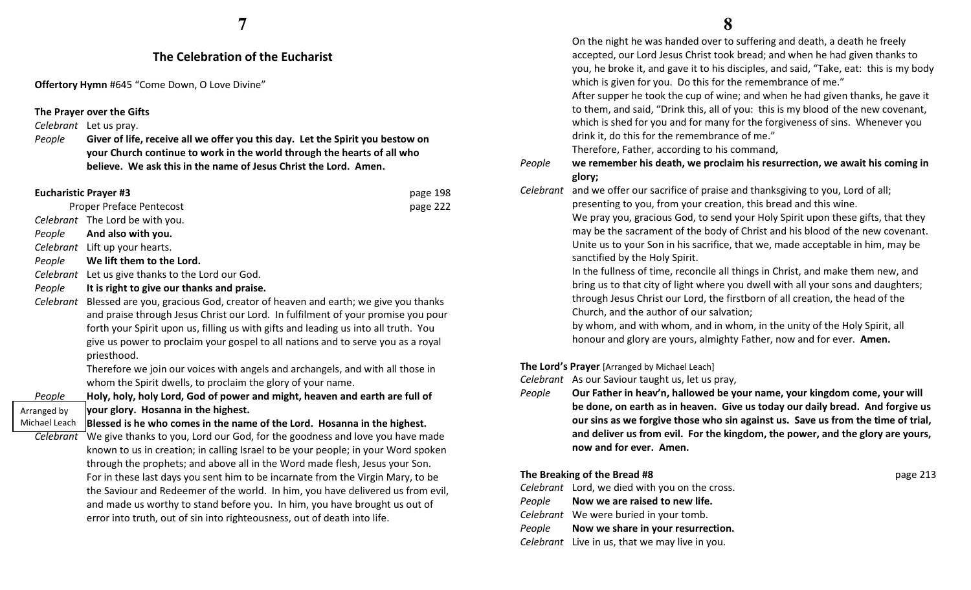#### The Celebration of the Eucharist

Offertory Hymn #645 "Come Down, O Love Divine"

#### The Prayer over the Gifts

Celebrant Let us pray.

People Giver of life, receive all we offer you this day. Let the Spirit you bestow on your Church continue to work in the world through the hearts of all who believe. We ask this in the name of Jesus Christ the Lord. Amen.

|               | <b>Eucharistic Prayer #3</b>                                                        | page 198 |  |  |
|---------------|-------------------------------------------------------------------------------------|----------|--|--|
|               | Proper Preface Pentecost                                                            | page 222 |  |  |
|               | Celebrant The Lord be with you.                                                     |          |  |  |
| People        | And also with you.                                                                  |          |  |  |
|               | Celebrant Lift up your hearts.                                                      |          |  |  |
| People        | We lift them to the Lord.                                                           |          |  |  |
|               | Celebrant Let us give thanks to the Lord our God.                                   |          |  |  |
| People        | It is right to give our thanks and praise.                                          |          |  |  |
| Celebrant     | Blessed are you, gracious God, creator of heaven and earth; we give you thanks      |          |  |  |
|               | and praise through Jesus Christ our Lord. In fulfilment of your promise you pour    |          |  |  |
|               | forth your Spirit upon us, filling us with gifts and leading us into all truth. You |          |  |  |
|               | give us power to proclaim your gospel to all nations and to serve you as a royal    |          |  |  |
|               | priesthood.                                                                         |          |  |  |
|               | Therefore we join our voices with angels and archangels, and with all those in      |          |  |  |
|               | whom the Spirit dwells, to proclaim the glory of your name.                         |          |  |  |
| People        | Holy, holy, holy Lord, God of power and might, heaven and earth are full of         |          |  |  |
| Arranged by   | your glory. Hosanna in the highest.                                                 |          |  |  |
| Michael Leach | Blessed is he who comes in the name of the Lord. Hosanna in the highest.            |          |  |  |
| Celebrant     | We give thanks to you, Lord our God, for the goodness and love you have made        |          |  |  |
|               | known to us in creation; in calling Israel to be your people; in your Word spoken   |          |  |  |
|               | through the prophets; and above all in the Word made flesh, Jesus your Son.         |          |  |  |
|               | For in these last days you sent him to be incarnate from the Virgin Mary, to be     |          |  |  |
|               | the Saviour and Redeemer of the world. In him, you have delivered us from evil,     |          |  |  |
|               | and made us worthy to stand before you. In him, you have brought us out of          |          |  |  |
|               | error into truth, out of sin into righteousness, out of death into life.            |          |  |  |

 On the night he was handed over to suffering and death, a death he freely accepted, our Lord Jesus Christ took bread; and when he had given thanks to you, he broke it, and gave it to his disciples, and said, "Take, eat: this is my body which is given for you. Do this for the remembrance of me." After supper he took the cup of wine; and when he had given thanks, he gave it to them, and said, "Drink this, all of you: this is my blood of the new covenant, which is shed for you and for many for the forgiveness of sins. Whenever you drink it, do this for the remembrance of me." Therefore, Father, according to his command, People we remember his death, we proclaim his resurrection, we await his coming in glory;Celebrant and we offer our sacrifice of praise and thanksgiving to you, Lord of all; presenting to you, from your creation, this bread and this wine. We pray you, gracious God, to send your Holy Spirit upon these gifts, that they may be the sacrament of the body of Christ and his blood of the new covenant. Unite us to your Son in his sacrifice, that we, made acceptable in him, may be sanctified by the Holy Spirit. In the fullness of time, reconcile all things in Christ, and make them new, and bring us to that city of light where you dwell with all your sons and daughters; through Jesus Christ our Lord, the firstborn of all creation, the head of the Church, and the author of our salvation; by whom, and with whom, and in whom, in the unity of the Holy Spirit, all honour and glory are yours, almighty Father, now and for ever. Amen. The Lord's Prayer [Arranged by Michael Leach] Celebrant As our Saviour taught us, let us pray, PeopleOur Father in heav'n, hallowed be your name, your kingdom come, your will

be done, on earth as in heaven. Give us today our daily bread. And forgive us our sins as we forgive those who sin against us. Save us from the time of trial, and deliver us from evil. For the kingdom, the power, and the glory are yours, now and for ever. Amen.

#### The Breaking of the Bread #8

Celebrant Lord, we died with you on the cross. People Now we are raised to new life. Celebrant We were buried in your tomb. People Now we share in your resurrection. Celebrant Live in us, that we may live in you.

 $\overline{\mathbf{8}}$  page 213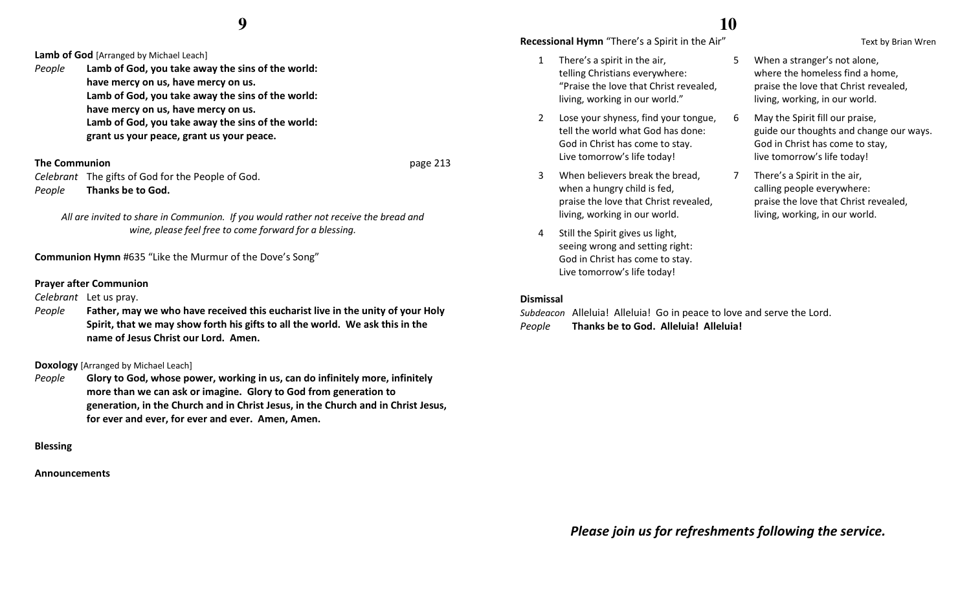## **9**

**Lamb of God** [Arranged by Michael Leach]

People Lamb of God, you take away the sins of the world: have mercy on us, have mercy on us. Lamb of God, you take away the sins of the world: have mercy on us, have mercy on us. Lamb of God, you take away the sins of the world: grant us your peace, grant us your peace.

#### The Communion

**n** page 213

Celebrant The gifts of God for the People of God. PeopleThanks be to God.

> All are invited to share in Communion. If you would rather not receive the bread and wine, please feel free to come forward for a blessing.

Communion Hymn #635 "Like the Murmur of the Dove's Song"

#### Prayer after Communion

Celebrant Let us pray.

People Father, may we who have received this eucharist live in the unity of your Holy Spirit, that we may show forth his gifts to all the world. We ask this in the name of Jesus Christ our Lord. Amen.

#### **Doxology** [Arranged by Michael Leach]

People Glory to God, whose power, working in us, can do infinitely more, infinitely more than we can ask or imagine. Glory to God from generation to generation, in the Church and in Christ Jesus, in the Church and in Christ Jesus, for ever and ever, for ever and ever. Amen, Amen.

#### Blessing

#### Announcements

## **10**

Recessional Hymn "There's a Spirit in the Air" Text by Brian Wren

- 1 There's a spirit in the air, telling Christians everywhere: "Praise the love that Christ revealed, living, working in our world."
- 2 Lose your shyness, find your tongue, tell the world what God has done: God in Christ has come to stay. Live tomorrow's life today!
- 3 When believers break the bread, when a hungry child is fed, praise the love that Christ revealed, living, working in our world.
- 4 Still the Spirit gives us light, seeing wrong and setting right: God in Christ has come to stay. Live tomorrow's life today!

#### Dismissal

Subdeacon Alleluia! Alleluia! Go in peace to love and serve the Lord. PeopleThanks be to God. Alleluia! Alleluia!

- 5 When a stranger's not alone, where the homeless find a home, praise the love that Christ revealed, living, working, in our world.
- 6 May the Spirit fill our praise, guide our thoughts and change our ways. God in Christ has come to stay, live tomorrow's life today!
- 7 There's a Spirit in the air, calling people everywhere: praise the love that Christ revealed, living, working, in our world.

Please join us for refreshments following the service.